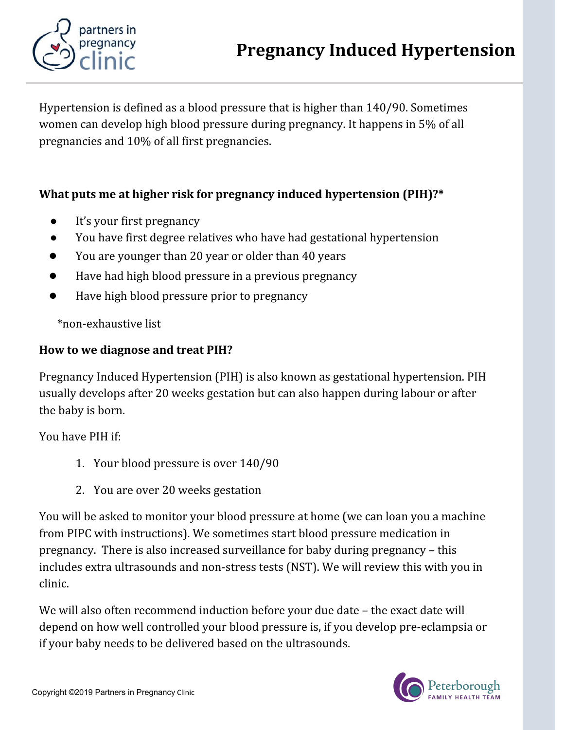

Hypertension is defined as a blood pressure that is higher than 140/90. Sometimes women can develop high blood pressure during pregnancy. It happens in 5% of all pregnancies and 10% of all first pregnancies.

## What puts me at higher risk for pregnancy induced hypertension (PIH)?\*

- It's your first pregnancy
- You have first degree relatives who have had gestational hypertension
- You are younger than 20 year or older than 40 years
- Have had high blood pressure in a previous pregnancy
- Have high blood pressure prior to pregnancy

\*non-exhaustive list

## How to we diagnose and treat PIH?

Pregnancy Induced Hypertension (PIH) is also known as gestational hypertension. PIH usually develops after 20 weeks gestation but can also happen during labour or after the baby is born.

You have PIH if:

- 1. Your blood pressure is over 140/90
- 2. You are over 20 weeks gestation

You will be asked to monitor your blood pressure at home (we can loan you a machine from PIPC with instructions). We sometimes start blood pressure medication in pregnancy. There is also increased surveillance for baby during pregnancy – this includes extra ultrasounds and non-stress tests (NST). We will review this with you in clinic.

We will also often recommend induction before your due date – the exact date will depend on how well controlled your blood pressure is, if you develop pre-eclampsia or if your baby needs to be delivered based on the ultrasounds.